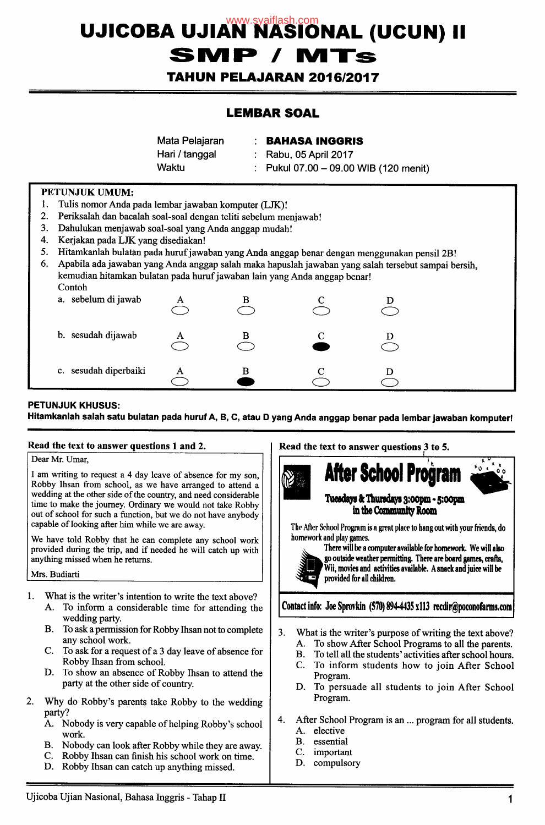# UJICOBA UJIAN NASIONAL (UCUN) II **SMP / M1**

**TAHUN PELAJARAN 2016/2017** 

## **LEMBAR SOAL**

**Mata Pelajaran** : **BAHASA INGGRIS Hari / tanggal : Rabu, 05 April 2017** Waktu : Pukul 07.00 - 09.00 WIB (120 menit)

#### PETUNJUK UMUM:

- 1. Tulis nomor Anda pada lembar jawaban komputer (UK)!
- 2. Periksalah dan bacalah soal-soal dengan teliti sebelum menjawab!
- 3. Dahulukan menjawab soal-soal yang Anda anggap mudah!
- 4. Kerjakan pada UK yang disediakan!
- 5. Hitamkanlah bulatan pada huruf jawaban yang Anda anggap benar dengan menggunakan pensil 2B!
- 6. Apabila ada jawaban yang Anda anggap salah maka hapuslah jawaban yang salah tersebut sampai bersih, kemudian hitamkan bulatan pada huruf jawaban lain yang Anda anggap benar! Contoh

| a. sebelum di jawab   | Α | В |  |  |
|-----------------------|---|---|--|--|
| b. sesudah dijawab    |   | в |  |  |
| c. sesudah diperbaiki |   | В |  |  |

#### **PETUNJUK KHUSUS:**

**Hitamkanlah salah satu bulatan pada huruf A, B, C, atau 0 yang Anda anggap benar pada lembar jawaban komputer!** 

#### **Read the text to answer questions 1 and** 2.

#### Dear Mr. Umar,

I am writing to request a 4 day leave of absence for my son, Robby Ihsan from school, as we have arranged to attend a wedding at the other side of the country, and need considerable time to make the journey. Ordinary we would not take Robby out of school for such a function, but we do not have anybody capable of looking after him while we are away.

We have told Robby that he can complete any school work provided during the trip, and if needed he will catch up with anything missed when he returns.

#### Mrs. Budiarti

- What is the writer's intention to write the text above? 1.
	- A. To inform a considerable time for attending the wedding party.
	- B. To ask a permission for Robby Ihsan not to complete any school work.
	- C. To ask for a request of a 3 day leave of absence for Robby Ihsan from school.
	- D. To show an absence of Robby Ihsan to attend the party at the other side of country.
- 2. Why do Robby's parents take Robby to the wedding party?
	- A. Nobody is very capable of helping Robby's school work.
	- B. Nobody can look after Robby while they are away.
	- C. Robby Ihsan can finish his school work on time.
	- D. Robby Ihsan can catch up anything missed.

**Read the text to answer questions**  .**3 to 5.** 



The After School Program is a great place to hang out with your friends, do homework and play games.



There will be a computer available for homework. We will also go outside weather permitting, There are board games, crafts, Wii, movies and activities available. A snack and juice will be provided for all children.

Contact info: Joe Sprovkin (570) 894-4435 x113 recdir@poconofarms.com

- $3.$ What is the writer's purpose of writing the text above? A. To show After School Programs to all the parents.
	- B. To tell all the students' activities after school hours.<br>C. To inform students how to ioin After School
	- To inform students how to join After School Program.
	- D. To persuade all students to join After School Program.
- 4. After School Program is an ... program for all students. A. elective
	- B. essential<br>C. importan
	- important
	- D. compulsory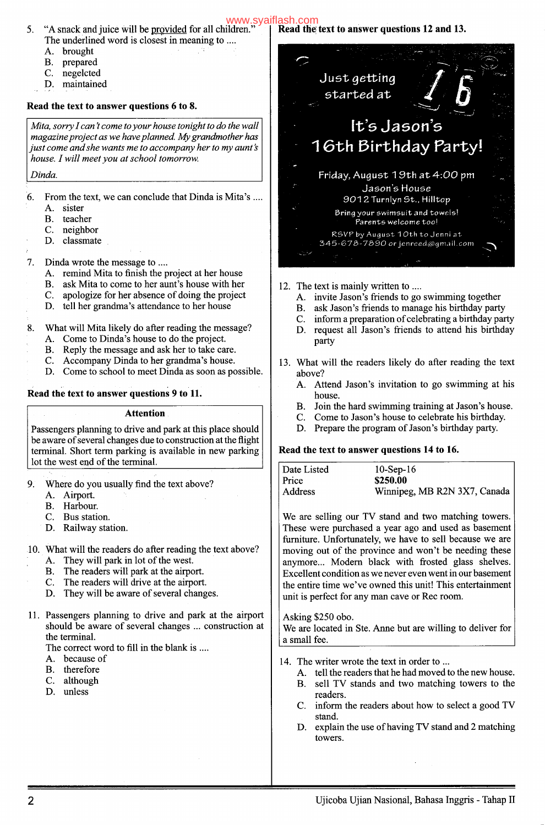#### "A snack and juice will be <u>provided</u> for all children." The underlined word is closest in meaning to .... **Read the text to answer questions 12 and 13.**

- A. brought
- B. prepared
- C. negelcted
- D. maintained

### **Read the text to answer questions 6 to 8.**

*Mita, sorry Ican 't come to your house tonight to do the wall magazine project as we have planned. My grandmother has just come andshe wants me to accompany her to my aunt's house. I will meet you at school tomorrow.* 

#### *Dinda.*

5.

- 6. From the text, we can conclude that Dinda is Mita's
	- A. sister
	- B. teacher
	- C. neighbor
	- D. classmate

#### 7. Dinda wrote the message to ....

- A. remind Mita to finish the project at her house
- B. ask Mita to come to her aunt's house with her
- C. apologize for her absence of doing the project
- D. tell her grandma's attendance to her house
- 8. What will Mita likely do after reading the message?
	- A. Come to Dinda's house to do the project.
	- B. Reply the message and ask her to take care.
	- C. Accompany Dinda to her grandma's house.
	- D. Come to school to meet Dinda as soon as possible.

#### **Read the text to answer questions 9 to 11.**

**Attention** 

Passengers planning to drive and park at this place should be aware of several changes due to construction at the flight terminal. Short term parking is available in new parking lot the west end of the terminal.

- 9. Where do you usually find the text above?
	- A. Airport.
	- B. Harbour.
	- C. Bus station.
	- D. Railway station.

10. What will the readers do after reading the text above?

- A. They will park in lot of the west.
- B. The readers will park at the airport.
- C. The readers will drive at the airport.
- D. They will be aware of several changes.
- 11. Passengers planning to drive and park at the airport should be aware of several changes ... construction at the terminal.

The correct word to fill in the blank is...

- A. because of
- B. therefore
- C. although
- D. unless



- 12. The text is mainly written to
	- A. invite Jason's friends to go swimming together
	- B. ask Jason's friends to manage his birthday party
	- C. inform a preparation of celebrating a birthday party
	- D. request all Jason's friends to attend his birthday party
- 13. What will the readers likely do after reading the text above?
	- A. Attend Jason's invitation to go swimming at his house.
	- B. Join the hard swimming training at Jason's house.
	- C. Come to Jason's house to celebrate his birthday.
	- D. Prepare the program of Jason's birthday party.

#### **Read the text to answer questions 14 to 16.**

| Date Listed | $10-Sep-16$                  |
|-------------|------------------------------|
| Price       | \$250.00                     |
| Address     | Winnipeg, MB R2N 3X7, Canada |

We are selling our TV stand and two matching towers. These were purchased a year ago and used as basement furniture. Unfortunately, we have to sell because we are moving out of the province and won't be needing these anymore... Modern black with frosted glass shelves. Excellent condition as we never even went in our basement the entire time we've owned this unit! This entertainment unit is perfect for any man cave or Rec room.

Asking \$250 obo. We are located in Ste. Anne but are willing to deliver for a small fee.

- 14. The writer wrote the text in order to ...
	- A. tell the readers that he had moved to the new house.
	- B. sell TV stands and two matching towers to the readers.
	- C. inform the readers about how to select a good TV stand.
	- D. explain the use of having TV stand and 2 matching towers.

[www.syaiflash.com](http://www.syaiflash.com/)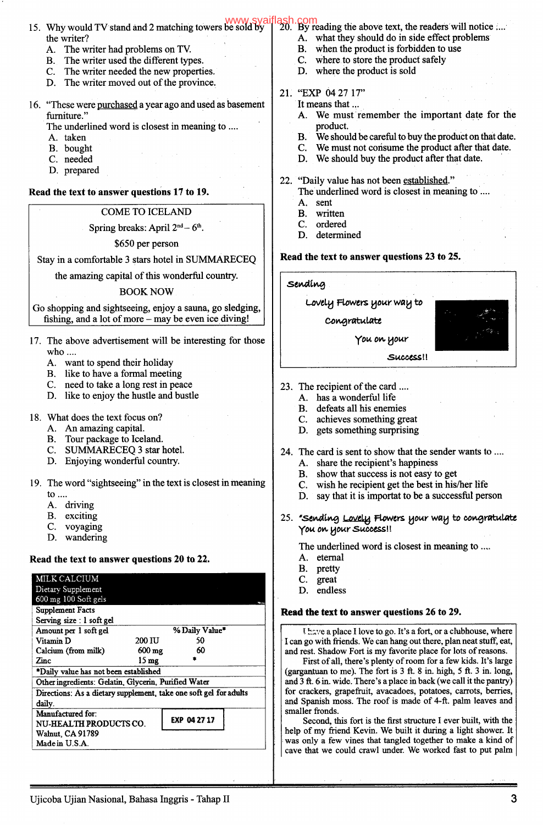- 15. Why would TV stand and 2 matching towers be sold by the writer?
	- A. The writer had problems on TV.
	- B. The writer used the different types.
	- C. The writer needed the new properties.
	- D. The writer moved out of the province.
- 16. "These were purchased a year ago and used as basement furniture."

The underlined word is closest in meaning to ....

- A. taken
- B. bought
- C. needed
- D. prepared

**Read the text to answer questions 17 to 19.** 

#### COME TO ICELAND

#### Spring breaks: April  $2<sup>nd</sup> - 6<sup>th</sup>$ .

*\$650* per person

Stay in a comfortable 3 stars hotel in SUMMARECEQ

the amazing capital of this wonderful country.

#### BOOK NOW

Go shopping and sightseeing, enjoy a sauna, go sledging, fishing, and a lot of more - may be even ice diving!

- 17. The above advertisement will be interesting for those who....
	- A. want to spend their holiday
	- B. like to have a formal meeting
	- C. need to take a long rest in peace
	- D. like to enjoy the hustle and bustle
- 18. What does the text focus on?
	- A. An amazing capital.
	- B. Tour package to Iceland.
	- C. SUMMARECEQ 3 star hotel.
	- D. Enjoying wonderful country.
- 19. The word "sightseeing" in the text is closest in meaning to ...
	- A. driving
	- B. exciting
	- C. voyaging
	- D. wandering

#### **Read the text to answer questions 20 to 22.**

| MILK CALCIUM                                                      |                    |              |  |  |  |
|-------------------------------------------------------------------|--------------------|--------------|--|--|--|
| Dietary Supplement                                                |                    |              |  |  |  |
| 600 mg 100 Soft gels                                              |                    |              |  |  |  |
| <b>Supplement Facts</b>                                           |                    |              |  |  |  |
| Serving size : 1 soft gel                                         |                    |              |  |  |  |
| Amount per 1 soft gel                                             | % Daily Value*     |              |  |  |  |
| Vitamin D                                                         | 200 IU             | 50           |  |  |  |
| Calcium (from milk)                                               | $600$ mg           | 60           |  |  |  |
| Zinc                                                              | $15 \,\mathrm{mg}$ |              |  |  |  |
| *Daily value has not been established                             |                    |              |  |  |  |
| Other ingredients: Gelatin, Glycerin, Purified Water              |                    |              |  |  |  |
| Directions: As a dietary supplement, take one soft gel for adults |                    |              |  |  |  |
| daily.                                                            |                    |              |  |  |  |
| Manufactured for:                                                 |                    |              |  |  |  |
| NU-HEALTH PRODUCTS CO.                                            |                    | EXP 04 27 17 |  |  |  |
| Walnut, CA 91789                                                  |                    |              |  |  |  |
| Made in U.S.A.                                                    |                    |              |  |  |  |

- [www.syaiflash.com](http://www.syaiflash.com/)<br>be sold by [20. By reading the above text, the readers will notice
	- A. what they should do in side effect problems
	- B. when the product is forbidden to use
	- C. where to store the product safely
	- D. where the product is sold

### 21. "EXP 04 27 17"

- It means that ...
	- A. We must remember the important date for the product.
	- B. We should be careful to buy the product on that date.
	- C. We must not consume the product after that date.
	- D. We should buy the product after that date.
- 22. "Daily value has not been established."
	- The underlined word is closest in meaning to .... A. sent
	- B. written
	- C. ordered
	- D. determined

#### **Read the text to answer questions 23 to 25.**

**sev4g** 

t.oveL.j *Rowevs* **0 outr** *Wa* **U** to coigrati4te -

*you ov.* 

- Success!!
- 23. The recipient of the card
	- A. has a wonderful life
	- B. defeats all his enemies
	- C. achieves something great
	- D. gets something surprising
- 24. The card is sent to show that the sender wants to
	- A. share the recipient's happiness
	- B. show that success is not easy to get
	- C. wish he recipient get the best in his/her life
	- D. say that it is importat to be a successful person
- 25. *'Sending Lovely Flowers your way to congratulate yov 0A, lJobtr'S1400ess* **<sup>U</sup>**
	- **The underlined word is closest in meaning to..**
	- A. eternal
	- B. pretty
	- C. great
	- D. endless

#### **Read the text to answer questions 26 to 29.**

I have a place I love to go. It's a fort, or a clubhouse, where I can go with friends. We can hang out there, plan neat stuff, eat, and rest. Shadow Fort is my favorite place for lots of reasons.

First of all, there's plenty of room for a few kids. It's large (gargantuan to me). The fort is 3 ft. 8 in. high, *5* ft. 3 in. long, and 3 ft. 6 in. wide. There's a place in back (we call it the pantry) for crackers, grapefruit, avacadoes, potatoes, carrots, berries, and Spanish moss. The roof is made of 4-ft. palm leaves and smaller fronds.

Second, this fort is the first structure I ever built, with the help of my friend Kevin. We built it during a light shower. It was only a few vines that tangled together to make a kind of cave that we could crawl under. We worked fast to put palm

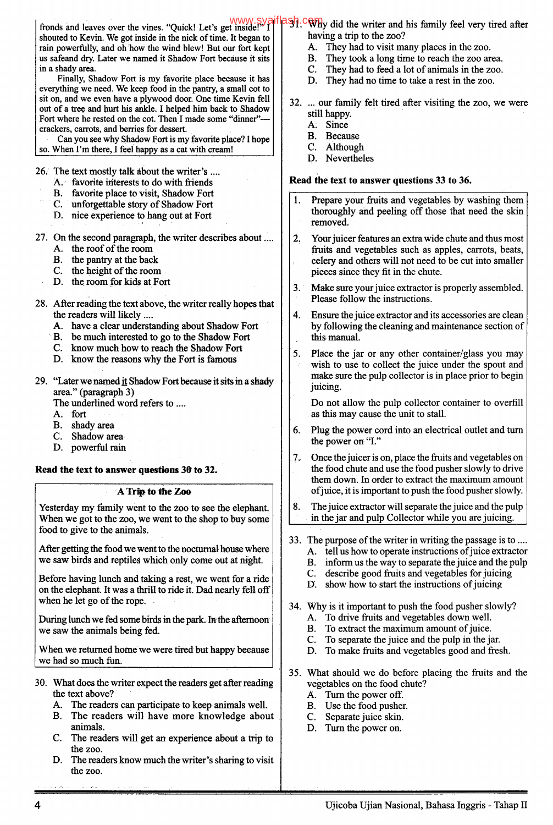shouted to Kevin. We got inside in the nick of time. It began to rain powerfully, and oh how the wind blew! But our fort kept us safeand dry. Later we named it Shadow Fort because it sits in a shady area.

Finally, Shadow Fort is my favorite place because it has everything we need. We keep food in the pantry, a small cot to sit on, and we even have a plywood door. One time Kevin fell out of a tree and hurt his ankle. I helped him back to Shadow Fort where he rested on the cot. Then I made some "dinner" crackers, carrots, and berries for dessert.

Can you see why Shadow Fort is my favorite place? I hope so. When I'm there, I feel happy as a cat with cream!

26.' The text mostly talk about the writer's

- A. favorite interests to do with friends<br>B. favorite place to visit, Shadow Fort
- favorite place to visit, Shadow Fort
- C. unforgettable story of Shadow Fort
- D. nice experience to hang out at Fort

27. On the second paragraph, the writer describes about

- A. the roof of the room
- B. the pantry at the back
- C. the height of the room
- D. the room for kids at Fort
- 28. After reading the text above, the writer really hopes that the readers will likely
	- A. have a clear understanding about Shadow Fort
	- B. be much interested to go to the Shadow Fort
	- C. know much how to reach the Shadow Fort
	- D. know the reasons why the Fort is famous
- 29. "Later we named it Shadow Fort because it sits in a shady area." (paragraph 3)

The underlined word refers to ....

- A. fort
- B. shady area
- C. Shadow area
- D. powerful rain

#### **Read the text to answer questions 30 to 32.**

#### **A Trip to the Zoo**

Yesterday my family went to the zoo to see the elephant. When we got to the zoo, we went to the shop to buy some food to give to the animals.

After getting the food we went to the nocturnal house where we saw birds and reptiles which only come out at night.

Before having lunch and taking a rest, we went for a ride on the elephant. It was a thrill to ride it. Dad nearly fell off when he let go of the rope.

During lunch we fed some birds in the park. In the afternoon we saw the animals being fed.

When we returned home we were tired but happy because we had so much fun.

- 30. What does the writer expect the readers get after reading the text above?
	- A. The readers can participate to keep animals well.
	- B. The readers will have more knowledge about animals.
	- C. The readers will get an experience about a trip to the zoo.
	- D. The readers know much the writer's sharing to visit the zoo.

#### fronds and leaves over the vines. "Quick! Let's get inside!" I www.syaiflesh.com did the writer and his family feel very tired after having a trip to the zoo?

- A. They had to visit many places in the zoo.
- B. They took a long time to reach the zoo area.
- C. They had to feed a lot of animals in the zoo.
- D. They had no time to take a rest in the zoo.
- 32. ... our family felt tired after visiting the zoo, we were still happy.
	- A. Since
	- B. Because
	- C. Although
	- D. Nevertheles

#### **Read the text to answer questions 33 to 36.**

- Prepare your fruits and vegetables by washing them thoroughly and peeling off those that need the skin removed.
- 2. Your juicer features an extra wide chute and thus most fruits and vegetables such as apples, carrots, beats, celery and others will not need to be cut into smaller pieces since they fit in the chute.
- 3.' Make sure your juice extractor is properly assembled. Please follow the instructions.
- 4. Ensure the juice extractor and its accessories are clean by following the cleaning and maintenance section of this manual.
- 5. Place the jar or any other container/glass you may wish to use to collect the juice under the spout and make sure the pulp collector is in place prior to begin juicing.

Do not allow the pulp collector container to overfill as this may cause the unit to stall.

- 6. Plug the power cord into an electrical outlet and turn the power on "I."
- 7.. Once the juicer is on, place the fruits and vegetables on the food chute and use the food pusher slowly to drive them down. In order to extract the maximum amount ofjuice, it is important to push the food pusher slowly.
- 8. The juice extractor will separate the juice and the pulp in the jar and pulp Collector while you are juicing.
- 33. The purpose of the writer in writing the passage is to
	- A. tell us how to operate instructions of juice extractor
	- B. inform us the way to separate the juice and the pulp
	- C. describe good fruits and vegetables for juicing
	- D. show how to start the instructions of juicing
- 34. Why is it important to push the food pusher slowly?
	- A. To drive fruits and vegetables down well.
	- B. To extract the maximum amount of juice.
	- C. To separate the juice and the pulp in the jar.
	- D. To make fruits and vegetables good and fresh.
- *35.* What should we do before placing the fruits and the vegetables on the food chute?
	- A. Turn the power off.
	- B. Use the food pusher.
	- C. Separate juice skin.
	- D. Turn the power on.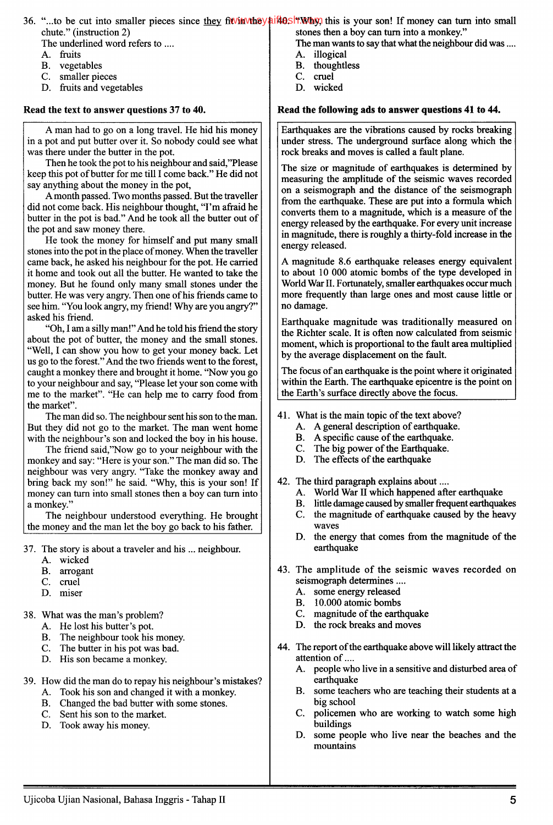36. "...to be cut into smaller pieces since they fit in the y ail 40s ft. Why, this is your son! If money can turn into small chute." (instruction 2) stones then a boy can turn into a monkey."

The underlined word refers to ....

- A. fruits
- B. vegetables
- C. smaller pieces
- D. fruits and vegetables

#### **Read the text to answer questions 37 to 40.**

A man had to go on a long travel. He hid his money in a pot and put butter over it. So nobody could see what was there under the butter in the pot.

Then he took the pot to his neighbour and said,"Please keep this pot of butter for me till I come back." He did not say anything about the money in the pot,

A month passed. Two months passed. But the traveller did not come back. His neighbour thought, "I'm afraid he butter in the pot is bad." And he took all the butter out of the pot and saw money there.

He took the money for himself and put many small stones into the pot in the place of money. When the traveller came back, he asked his neighbour for the pot. He carried it home and took out all the butter. He wanted to take the money. But he found only many small stones under the butter. He was very angry. Then one of his friends came to see him. *"You* look angry, my friend! Why are you angry?" asked his friend.

"Oh, I am a silly man!" And he told his friend the story about the pot of butter, the money and the small stones. "Well, I can show you how to get your money back. Let us go to the forest." And the two friends went to the forest, caught a monkey there and brought it home. "Now you go' to your neighbour and say, "Please let your son come with me to the market". "He can help me to carry food from the market".

The man did so. The neighbour sent his son to the man. But they did not go to the market. The man went home' with the neighbour's son and locked the boy in his house.

The friend said,"Now go to your neighbour with the monkey and say: "Here is your son." The man did so. The neighbour was very angry. "Take the monkey away and bring back my son!" he said. "Why, this is your son! If money can turn into small stones then a boy can turn into a monkey."

The neighbour understood everything. He brought: the money and the man let the boy go back to his father.

- 37. The story is about a traveler and his ... neighbour.
	- A. wicked
	- B. arrogant
	- C. cruel
	- D. miser

38. What was the man's problem?

- A. He lost his butter's pot.
- B. The neighbour took his money.<br>C. The butter in his pot was bad.
- The butter in his pot was bad.
- D. His son became a monkey.
- 39. How did the man do to repay his neighbour's mistakes?
	- A. Took his son and changed it with a monkey.
	- B. Changed the bad butter with some stones.<br>C. Sent his son to the market.
	- Sent his son to the market.
	- D. Took away his money.

The man wants to say that what the neighbour did was ....

- A. illogical
- B. thoughtless
- C. cruel
- D. wicked

#### **Read the following ads to answer questions 41 to 44.**

Earthquakes are the vibrations caused by rocks breaking under stress. The underground surface along which the rock breaks and moves is called a fault plane.

The size or magnitude of earthquakes is determined by measuring the amplitude of the seismic waves recorded on a seismograph and the distance of the seismograph from the earthquake. These are put into a formula which converts them to a magnitude, which is a measure of the energy released by the earthquake. For every unit increase in magnitude, there is roughly a thirty-fold increase in the energy released.

A magnitude 8.6 earthquake releases energy equivalent to about 10 000 atomic bombs of the type developed in World War II. Fortunately, smaller earthquakes occur much more frequently than large ones and most cause little or no damage.

Earthquake magnitude was traditionally measured on the Richter scale. It is often now calculated from seismic moment, which is proportional to the fault area multiplied by the average displacement on the fault.

The focus of an earthquake is the point where it originated within the Earth. The earthquake epicentre is the point on the Earth's surface directly above the focus.

- 41. What is the main topic of the text above?
	- A. A general description of earthquake.
	- B. A specific cause of the earthquake.
	- C. The big power of the Earthquake.
	- D. The effects of the earthquake
- 42. The third paragraph explains about
	- A. World War II which happened after earthquake
	- B. little damage caused by smaller frequent earthquakes
	- C. the magnitude of earthquake caused by the heavy waves
	- D. the energy that comes from the magnitude of the earthquake
- 43. The amplitude of the seismic waves recorded on seismograph determines
	- A. some energy released
	- B. 10.000 atomic bombs
	- C. magnitude of the earthquake
	- D. the rock breaks and moves
- 44. The report of the earthquake above will likely attract the attention of....
	- A. people who live in a sensitive and disturbed area of earthquake
	- B. some teachers who are teaching their students at a big school
	- C. policemen who are working to watch some high buildings
	- D. some people who live near the beaches and the mountains